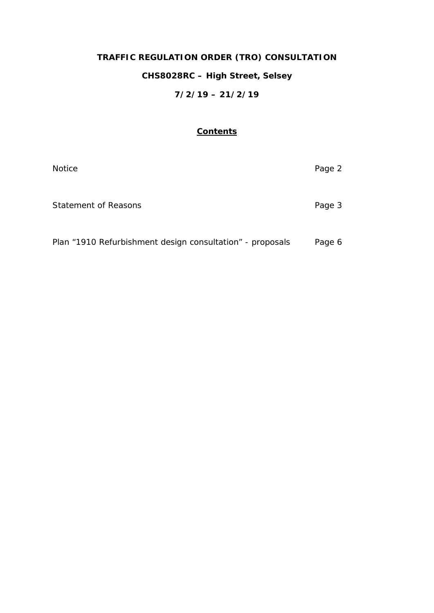# **TRAFFIC REGULATION ORDER (TRO) CONSULTATION CHS8028RC – High Street, Selsey 7/2/19 – 21/2/19**

## **Contents**

| <b>Notice</b>                                             | Page 2 |
|-----------------------------------------------------------|--------|
| <b>Statement of Reasons</b>                               | Page 3 |
| Plan "1910 Refurbishment design consultation" - proposals | Page 6 |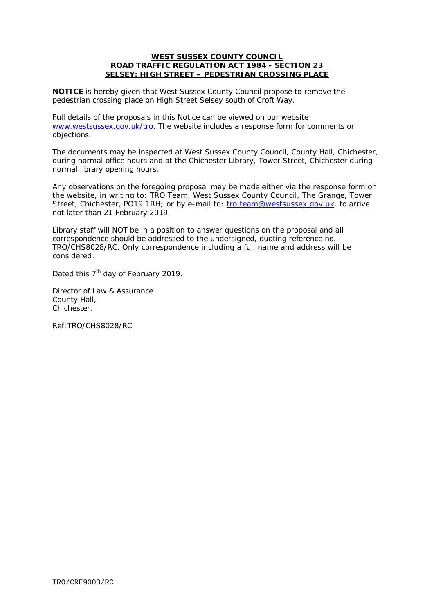#### **WEST SUSSEX COUNTY COUNCIL ROAD TRAFFIC REGULATION ACT 1984 - SECTION 23 SELSEY: HIGH STREET – PEDESTRIAN CROSSING PLACE**

**NOTICE** is hereby given that West Sussex County Council propose to remove the pedestrian crossing place on High Street Selsey south of Croft Way.

Full details of the proposals in this Notice can be viewed on our website [www.westsussex.gov.uk/tro.](http://www.westsussex.gov.uk/tro) The website includes a response form for comments or objections.

The documents may be inspected at West Sussex County Council, County Hall, Chichester, during normal office hours and at the Chichester Library, Tower Street, Chichester during normal library opening hours.

Any observations on the foregoing proposal may be made either via the response form on the website, in writing to: TRO Team, West Sussex County Council, The Grange, Tower Street, Chichester, PO19 1RH; or by e-mail to: [tro.team@westsussex.gov.uk.](mailto:tro.team@westsussex.gov.uk) to arrive not later than 21 February 2019

Library staff will NOT be in a position to answer questions on the proposal and all correspondence should be addressed to the undersigned, quoting reference no. TRO/CHS8028/RC. Only correspondence including a full name and address will be considered.

Dated this 7<sup>th</sup> day of February 2019.

Director of Law & Assurance County Hall, Chichester.

Ref:TRO/CHS8028/RC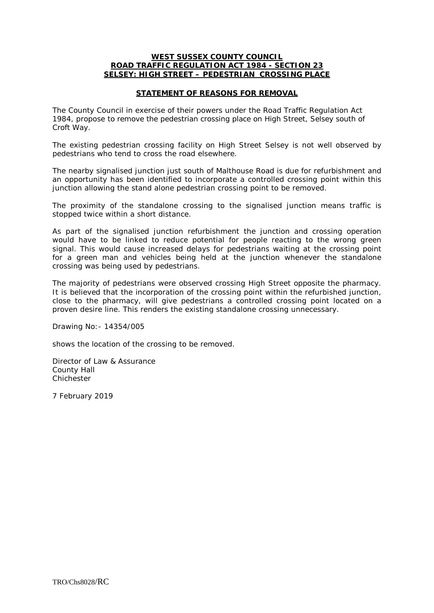#### **WEST SUSSEX COUNTY COUNCIL ROAD TRAFFIC REGULATION ACT 1984 - SECTION 23 SELSEY: HIGH STREET – PEDESTRIAN CROSSING PLACE**

### **STATEMENT OF REASONS FOR REMOVAL**

The County Council in exercise of their powers under the Road Traffic Regulation Act 1984, propose to remove the pedestrian crossing place on High Street, Selsey south of Croft Way.

The existing pedestrian crossing facility on High Street Selsey is not well observed by pedestrians who tend to cross the road elsewhere.

The nearby signalised junction just south of Malthouse Road is due for refurbishment and an opportunity has been identified to incorporate a controlled crossing point within this junction allowing the stand alone pedestrian crossing point to be removed.

The proximity of the standalone crossing to the signalised junction means traffic is stopped twice within a short distance.

As part of the signalised junction refurbishment the junction and crossing operation would have to be linked to reduce potential for people reacting to the wrong green signal. This would cause increased delays for pedestrians waiting at the crossing point for a green man and vehicles being held at the junction whenever the standalone crossing was being used by pedestrians.

The majority of pedestrians were observed crossing High Street opposite the pharmacy. It is believed that the incorporation of the crossing point within the refurbished junction, close to the pharmacy, will give pedestrians a controlled crossing point located on a proven desire line. This renders the existing standalone crossing unnecessary.

Drawing No:- 14354/005

shows the location of the crossing to be removed.

Director of Law & Assurance County Hall Chichester

7 February 2019